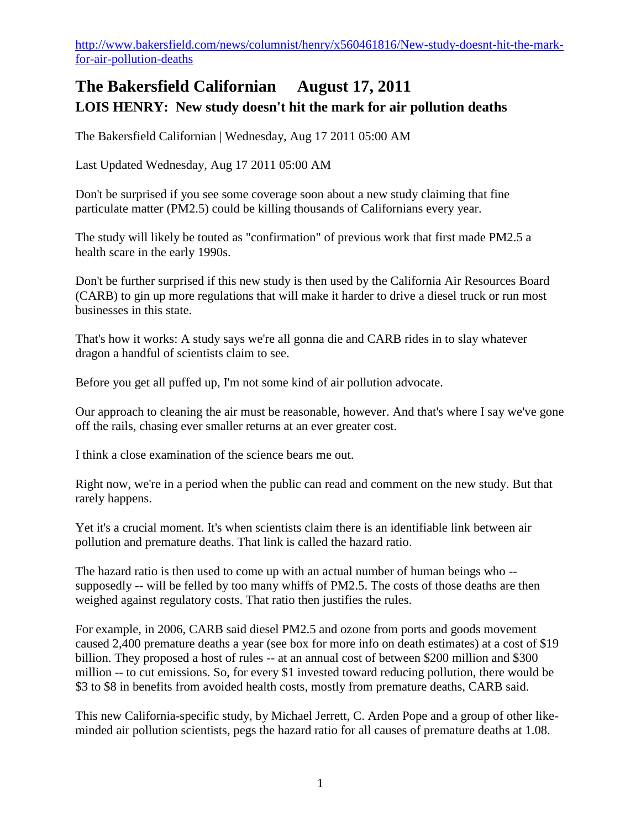[http://www.bakersfield.com/news/columnist/henry/x560461816/New-study-doesnt-hit-the-mark](http://www.bakersfield.com/news/columnist/henry/x560461816/New-study-doesnt-hit-the-mark-for-air-pollution-deaths)[for-air-pollution-deaths](http://www.bakersfield.com/news/columnist/henry/x560461816/New-study-doesnt-hit-the-mark-for-air-pollution-deaths)

## **The Bakersfield Californian August 17, 2011 LOIS HENRY: New study doesn't hit the mark for air pollution deaths**

The Bakersfield Californian | Wednesday, Aug 17 2011 05:00 AM

Last Updated Wednesday, Aug 17 2011 05:00 AM

Don't be surprised if you see some coverage soon about a new study claiming that fine particulate matter (PM2.5) could be killing thousands of Californians every year.

The study will likely be touted as "confirmation" of previous work that first made PM2.5 a health scare in the early 1990s.

Don't be further surprised if this new study is then used by the California Air Resources Board (CARB) to gin up more regulations that will make it harder to drive a diesel truck or run most businesses in this state.

That's how it works: A study says we're all gonna die and CARB rides in to slay whatever dragon a handful of scientists claim to see.

Before you get all puffed up, I'm not some kind of air pollution advocate.

Our approach to cleaning the air must be reasonable, however. And that's where I say we've gone off the rails, chasing ever smaller returns at an ever greater cost.

I think a close examination of the science bears me out.

Right now, we're in a period when the public can read and comment on the new study. But that rarely happens.

Yet it's a crucial moment. It's when scientists claim there is an identifiable link between air pollution and premature deaths. That link is called the hazard ratio.

The hazard ratio is then used to come up with an actual number of human beings who - supposedly -- will be felled by too many whiffs of PM2.5. The costs of those deaths are then weighed against regulatory costs. That ratio then justifies the rules.

For example, in 2006, CARB said diesel PM2.5 and ozone from ports and goods movement caused 2,400 premature deaths a year (see box for more info on death estimates) at a cost of \$19 billion. They proposed a host of rules -- at an annual cost of between \$200 million and \$300 million -- to cut emissions. So, for every \$1 invested toward reducing pollution, there would be \$3 to \$8 in benefits from avoided health costs, mostly from premature deaths, CARB said.

This new California-specific study, by Michael Jerrett, C. Arden Pope and a group of other likeminded air pollution scientists, pegs the hazard ratio for all causes of premature deaths at 1.08.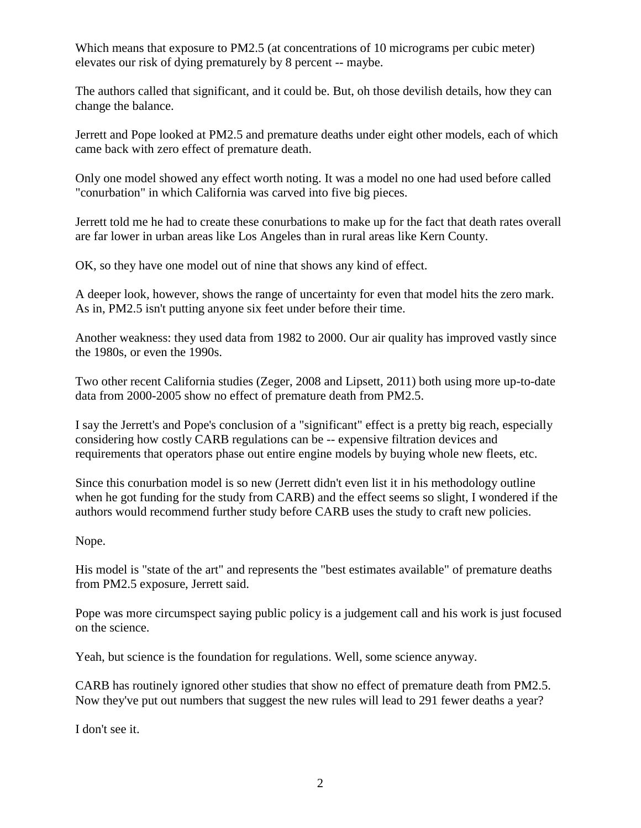Which means that exposure to PM2.5 (at concentrations of 10 micrograms per cubic meter) elevates our risk of dying prematurely by 8 percent -- maybe.

The authors called that significant, and it could be. But, oh those devilish details, how they can change the balance.

Jerrett and Pope looked at PM2.5 and premature deaths under eight other models, each of which came back with zero effect of premature death.

Only one model showed any effect worth noting. It was a model no one had used before called "conurbation" in which California was carved into five big pieces.

Jerrett told me he had to create these conurbations to make up for the fact that death rates overall are far lower in urban areas like Los Angeles than in rural areas like Kern County.

OK, so they have one model out of nine that shows any kind of effect.

A deeper look, however, shows the range of uncertainty for even that model hits the zero mark. As in, PM2.5 isn't putting anyone six feet under before their time.

Another weakness: they used data from 1982 to 2000. Our air quality has improved vastly since the 1980s, or even the 1990s.

Two other recent California studies (Zeger, 2008 and Lipsett, 2011) both using more up-to-date data from 2000-2005 show no effect of premature death from PM2.5.

I say the Jerrett's and Pope's conclusion of a "significant" effect is a pretty big reach, especially considering how costly CARB regulations can be -- expensive filtration devices and requirements that operators phase out entire engine models by buying whole new fleets, etc.

Since this conurbation model is so new (Jerrett didn't even list it in his methodology outline when he got funding for the study from CARB) and the effect seems so slight, I wondered if the authors would recommend further study before CARB uses the study to craft new policies.

## Nope.

His model is "state of the art" and represents the "best estimates available" of premature deaths from PM2.5 exposure, Jerrett said.

Pope was more circumspect saying public policy is a judgement call and his work is just focused on the science.

Yeah, but science is the foundation for regulations. Well, some science anyway.

CARB has routinely ignored other studies that show no effect of premature death from PM2.5. Now they've put out numbers that suggest the new rules will lead to 291 fewer deaths a year?

I don't see it.